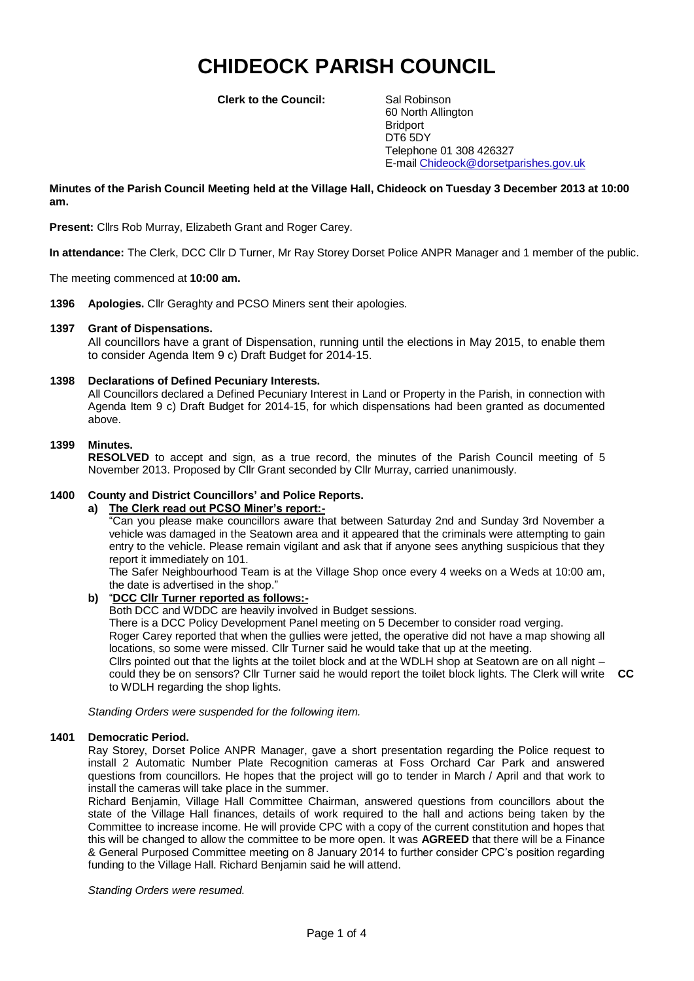# **CHIDEOCK PARISH COUNCIL**

**Clerk to the Council:** Sal Robinson

60 North Allington **Bridport** DT6 5DY Telephone 01 308 426327 E-mail Chideock@dorsetparishes.gov.uk

## **Minutes of the Parish Council Meeting held at the Village Hall, Chideock on Tuesday 3 December 2013 at 10:00 am.**

**Present:** Cllrs Rob Murray, Elizabeth Grant and Roger Carey.

**In attendance:** The Clerk, DCC Cllr D Turner, Mr Ray Storey Dorset Police ANPR Manager and 1 member of the public.

The meeting commenced at **10:00 am.**

**1396 Apologies.** Cllr Geraghty and PCSO Miners sent their apologies.

## **1397 Grant of Dispensations.**

All councillors have a grant of Dispensation, running until the elections in May 2015, to enable them to consider Agenda Item 9 c) Draft Budget for 2014-15.

## **1398 Declarations of Defined Pecuniary Interests.**

All Councillors declared a Defined Pecuniary Interest in Land or Property in the Parish, in connection with Agenda Item 9 c) Draft Budget for 2014-15, for which dispensations had been granted as documented above.

### **1399 Minutes.**

**RESOLVED** to accept and sign, as a true record, the minutes of the Parish Council meeting of 5 November 2013. Proposed by Cllr Grant seconded by Cllr Murray, carried unanimously.

# **1400 County and District Councillors' and Police Reports.**

# **a) The Clerk read out PCSO Miner's report:-**

"Can you please make councillors aware that between Saturday 2nd and Sunday 3rd November a vehicle was damaged in the Seatown area and it appeared that the criminals were attempting to gain entry to the vehicle. Please remain vigilant and ask that if anyone sees anything suspicious that they report it immediately on 101.

The Safer Neighbourhood Team is at the Village Shop once every 4 weeks on a Weds at 10:00 am, the date is advertised in the shop."

### **b)** "**DCC Cllr Turner reported as follows:-**

Both DCC and WDDC are heavily involved in Budget sessions.

There is a DCC Policy Development Panel meeting on 5 December to consider road verging.

Roger Carey reported that when the gullies were jetted, the operative did not have a map showing all locations, so some were missed. Cllr Turner said he would take that up at the meeting.

Cllrs pointed out that the lights at the toilet block and at the WDLH shop at Seatown are on all night – could they be on sensors? Cllr Turner said he would report the toilet block lights. The Clerk will write **CC** to WDLH regarding the shop lights.

*Standing Orders were suspended for the following item.*

### **1401 Democratic Period.**

Ray Storey, Dorset Police ANPR Manager, gave a short presentation regarding the Police request to install 2 Automatic Number Plate Recognition cameras at Foss Orchard Car Park and answered questions from councillors. He hopes that the project will go to tender in March / April and that work to install the cameras will take place in the summer.

Richard Benjamin, Village Hall Committee Chairman, answered questions from councillors about the state of the Village Hall finances, details of work required to the hall and actions being taken by the Committee to increase income. He will provide CPC with a copy of the current constitution and hopes that this will be changed to allow the committee to be more open. It was **AGREED** that there will be a Finance & General Purposed Committee meeting on 8 January 2014 to further consider CPC's position regarding funding to the Village Hall. Richard Benjamin said he will attend.

*Standing Orders were resumed.*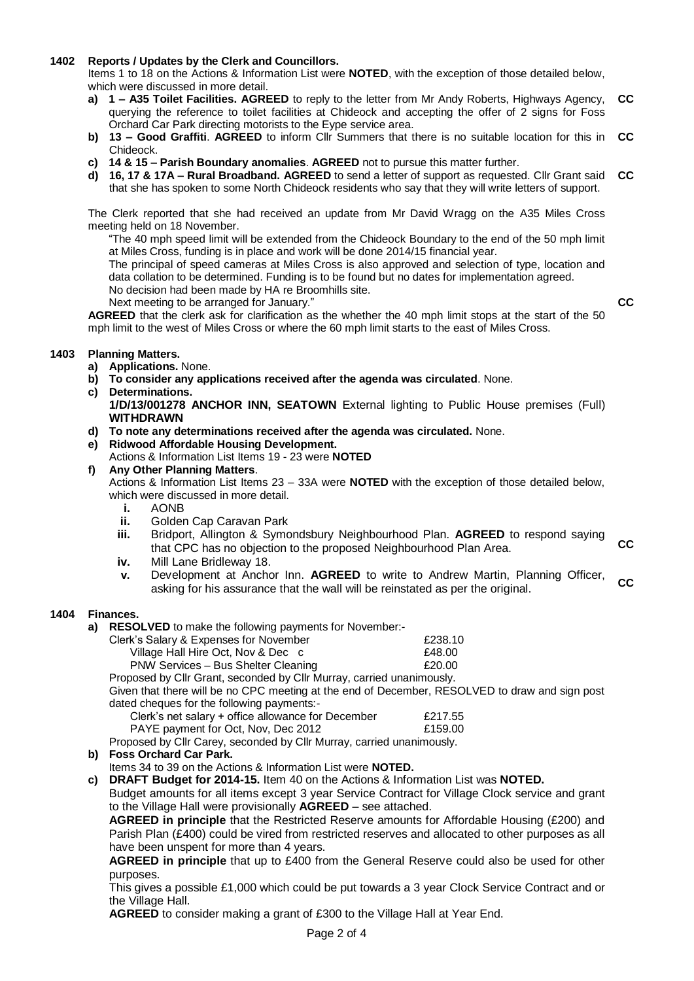# **1402 Reports / Updates by the Clerk and Councillors.**

Items 1 to 18 on the Actions & Information List were **NOTED**, with the exception of those detailed below, which were discussed in more detail.

- **a) 1 – A35 Toilet Facilities. AGREED** to reply to the letter from Mr Andy Roberts, Highways Agency, querying the reference to toilet facilities at Chideock and accepting the offer of 2 signs for Foss Orchard Car Park directing motorists to the Eype service area. **CC**
- **b) 13 – Good Graffiti**. **AGREED** to inform Cllr Summers that there is no suitable location for this in **CC** Chideock.
- **c) 14 & 15 – Parish Boundary anomalies**. **AGREED** not to pursue this matter further.
- **d) 16, 17 & 17A – Rural Broadband. AGREED** to send a letter of support as requested. Cllr Grant said **CC** that she has spoken to some North Chideock residents who say that they will write letters of support.

The Clerk reported that she had received an update from Mr David Wragg on the A35 Miles Cross meeting held on 18 November.

"The 40 mph speed limit will be extended from the Chideock Boundary to the end of the 50 mph limit at Miles Cross, funding is in place and work will be done 2014/15 financial year.

The principal of speed cameras at Miles Cross is also approved and selection of type, location and data collation to be determined. Funding is to be found but no dates for implementation agreed.

No decision had been made by HA re Broomhills site.

Next meeting to be arranged for January."

**CC**

**AGREED** that the clerk ask for clarification as the whether the 40 mph limit stops at the start of the 50 mph limit to the west of Miles Cross or where the 60 mph limit starts to the east of Miles Cross.

# **1403 Planning Matters.**

- **a) Applications.** None.
- **b) To consider any applications received after the agenda was circulated**. None.
- **c) Determinations.**
	- **1/D/13/001278 ANCHOR INN, SEATOWN** External lighting to Public House premises (Full) **WITHDRAWN**
- **d) To note any determinations received after the agenda was circulated.** None.
- **e) Ridwood Affordable Housing Development.**
	- Actions & Information List Items 19 23 were **NOTED**
- **f) Any Other Planning Matters**. Actions & Information List Items 23 – 33A were **NOTED** with the exception of those detailed below, which were discussed in more detail
	- **i.** AONB
	- **ii.** Golden Cap Caravan Park
	- **iii.** Bridport, Allington & Symondsbury Neighbourhood Plan. **AGREED** to respond saying that CPC has no objection to the proposed Neighbourhood Plan Area. **CC**
	- **iv.** Mill Lane Bridleway 18.
	- **v.** Development at Anchor Inn. **AGREED** to write to Andrew Martin, Planning Officer, asking for his assurance that the wall will be reinstated as per the original. **CC**

# **1404 Finances.**

**a) RESOLVED** to make the following payments for November:-

| Clerk's Salary & Expenses for November | £238.10 |
|----------------------------------------|---------|
| Village Hall Hire Oct, Nov & Dec c     | £48.00  |
| PNW Services - Bus Shelter Cleaning    | £20.00  |

Proposed by Cllr Grant, seconded by Cllr Murray, carried unanimously.

Given that there will be no CPC meeting at the end of December, RESOLVED to draw and sign post dated cheques for the following payments:-

| Clerk's net salary + office allowance for December | £217.55 |
|----------------------------------------------------|---------|
| PAYE payment for Oct, Nov, Dec 2012                | £159.00 |

Proposed by Cllr Carey, seconded by Cllr Murray, carried unanimously.

# **b) Foss Orchard Car Park.**

Items 34 to 39 on the Actions & Information List were **NOTED.**

**c) DRAFT Budget for 2014-15.** Item 40 on the Actions & Information List was **NOTED.**

Budget amounts for all items except 3 year Service Contract for Village Clock service and grant to the Village Hall were provisionally **AGREED** – see attached.

**AGREED in principle** that the Restricted Reserve amounts for Affordable Housing (£200) and Parish Plan (£400) could be vired from restricted reserves and allocated to other purposes as all have been unspent for more than 4 years.

**AGREED in principle** that up to £400 from the General Reserve could also be used for other purposes.

This gives a possible £1,000 which could be put towards a 3 year Clock Service Contract and or the Village Hall.

**AGREED** to consider making a grant of £300 to the Village Hall at Year End.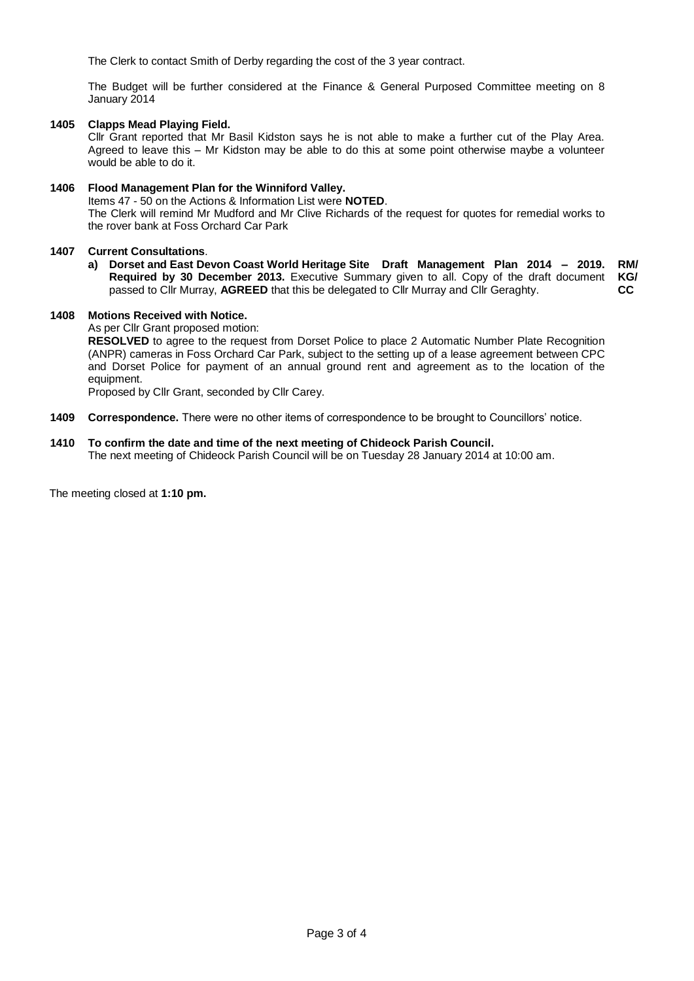The Clerk to contact Smith of Derby regarding the cost of the 3 year contract.

The Budget will be further considered at the Finance & General Purposed Committee meeting on 8 January 2014

# **1405 Clapps Mead Playing Field.**

Cllr Grant reported that Mr Basil Kidston says he is not able to make a further cut of the Play Area. Agreed to leave this – Mr Kidston may be able to do this at some point otherwise maybe a volunteer would be able to do it.

# **1406 Flood Management Plan for the Winniford Valley.**

Items 47 - 50 on the Actions & Information List were **NOTED**.

The Clerk will remind Mr Mudford and Mr Clive Richards of the request for quotes for remedial works to the rover bank at Foss Orchard Car Park

# **1407 Current Consultations**.

**a) Dorset and East Devon Coast World Heritage Site Draft Management Plan 2014 – 2019. RM/ Required by 30 December 2013.** Executive Summary given to all. Copy of the draft document **KG/** passed to Cllr Murray, **AGREED** that this be delegated to Cllr Murray and Cllr Geraghty. **CC**

## **1408 Motions Received with Notice.**

As per Cllr Grant proposed motion:

**RESOLVED** to agree to the request from Dorset Police to place 2 Automatic Number Plate Recognition (ANPR) cameras in Foss Orchard Car Park, subject to the setting up of a lease agreement between CPC and Dorset Police for payment of an annual ground rent and agreement as to the location of the equipment.

Proposed by Cllr Grant, seconded by Cllr Carey.

**1409 Correspondence.** There were no other items of correspondence to be brought to Councillors' notice.

# **1410 To confirm the date and time of the next meeting of Chideock Parish Council.**

The next meeting of Chideock Parish Council will be on Tuesday 28 January 2014 at 10:00 am.

The meeting closed at **1:10 pm.**